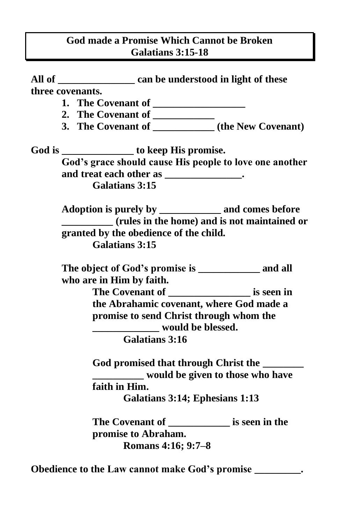## **God made a Promise Which Cannot be Broken Galatians 3:15-18**

|  |                                                                                                                 | All of ________________________ can be understood in light of these |  |  |
|--|-----------------------------------------------------------------------------------------------------------------|---------------------------------------------------------------------|--|--|
|  |                                                                                                                 | three covenants.                                                    |  |  |
|  |                                                                                                                 |                                                                     |  |  |
|  |                                                                                                                 | 2. The Covenant of ___________                                      |  |  |
|  |                                                                                                                 | 3. The Covenant of _____________(the New Covenant)                  |  |  |
|  | God is _________________ to keep His promise.                                                                   |                                                                     |  |  |
|  |                                                                                                                 | God's grace should cause His people to love one another             |  |  |
|  | and treat each other as _______________.                                                                        |                                                                     |  |  |
|  |                                                                                                                 | <b>Galatians 3:15</b>                                               |  |  |
|  |                                                                                                                 | Adoption is purely by _______________ and comes before              |  |  |
|  | (rules in the home) and is not maintained or<br>granted by the obedience of the child.<br><b>Galatians 3:15</b> |                                                                     |  |  |
|  |                                                                                                                 |                                                                     |  |  |
|  |                                                                                                                 |                                                                     |  |  |
|  |                                                                                                                 | The object of God's promise is _____________ and all                |  |  |
|  | who are in Him by faith.                                                                                        |                                                                     |  |  |
|  |                                                                                                                 |                                                                     |  |  |
|  | the Abrahamic covenant, where God made a                                                                        |                                                                     |  |  |
|  | promise to send Christ through whom the<br>would be blessed.<br><b>Galatians 3:16</b>                           |                                                                     |  |  |
|  |                                                                                                                 |                                                                     |  |  |
|  | God promised that through Christ the<br>would be given to those who have                                        |                                                                     |  |  |
|  |                                                                                                                 |                                                                     |  |  |
|  | faith in Him.<br>Galatians 3:14; Ephesians 1:13                                                                 |                                                                     |  |  |
|  |                                                                                                                 |                                                                     |  |  |
|  |                                                                                                                 | The Covenant of ______________ is seen in the                       |  |  |
|  | promise to Abraham.                                                                                             |                                                                     |  |  |
|  |                                                                                                                 | Romans 4:16; 9:7-8                                                  |  |  |
|  |                                                                                                                 | Obedience to the Law cannot make God's promise ________.            |  |  |